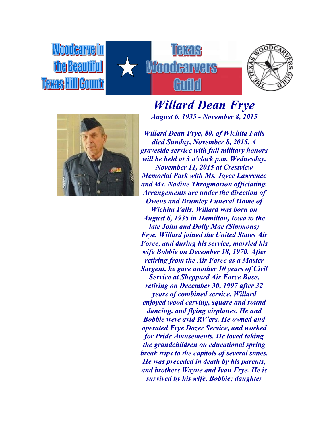*Moodearvelin* the Beautiful **Texas Hill Gounty** 





*Willard Dean Frye August 6, 1935 - November 8, 2015*

*Willard Dean Frye, 80, of Wichita Falls died Sunday, November 8, 2015. A graveside service with full military honors will be held at 3 o'clock p.m. Wednesday, November 11, 2015 at Crestview Memorial Park with Ms. Joyce Lawrence and Ms. Nadine Throgmorton officiating. Arrangements are under the direction of Owens and Brumley Funeral Home of Wichita Falls. Willard was born on August 6, 1935 in Hamilton, Iowa to the late John and Dolly Mae (Simmons) Frye. Willard joined the United States Air Force, and during his service, married his wife Bobbie on December 18, 1970. After retiring from the Air Force as a Master Sargent, he gave another 10 years of Civil Service at Sheppard Air Force Base, retiring on December 30, 1997 after 32 years of combined service. Willard enjoyed wood carving, square and round dancing, and flying airplanes. He and Bobbie were avid RV'ers. He owned and operated Frye Dozer Service, and worked for Pride Amusements. He loved taking the grandchildren on educational spring break trips to the capitols of several states. He was preceded in death by his parents, and brothers Wayne and Ivan Frye. He is survived by his wife, Bobbie; daughter*